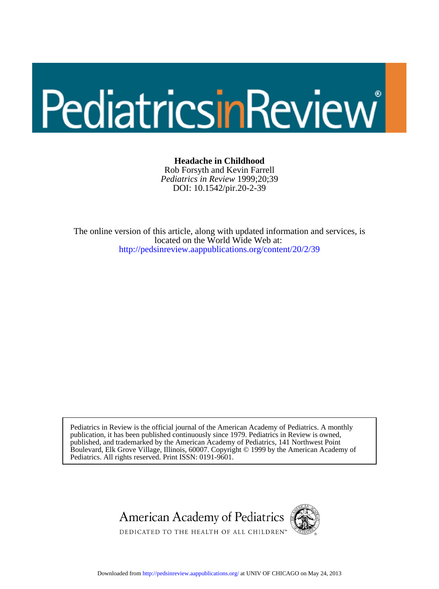# PediatricsinReview®

DOI: 10.1542/pir.20-2-39 *Pediatrics in Review* 1999;20;39 Rob Forsyth and Kevin Farrell **Headache in Childhood**

<http://pedsinreview.aappublications.org/content/20/2/39> located on the World Wide Web at: The online version of this article, along with updated information and services, is

Pediatrics. All rights reserved. Print ISSN: 0191-9601. Boulevard, Elk Grove Village, Illinois, 60007. Copyright © 1999 by the American Academy of published, and trademarked by the American Academy of Pediatrics, 141 Northwest Point publication, it has been published continuously since 1979. Pediatrics in Review is owned, Pediatrics in Review is the official journal of the American Academy of Pediatrics. A monthly



Downloaded from<http://pedsinreview.aappublications.org/>at UNIV OF CHICAGO on May 24, 2013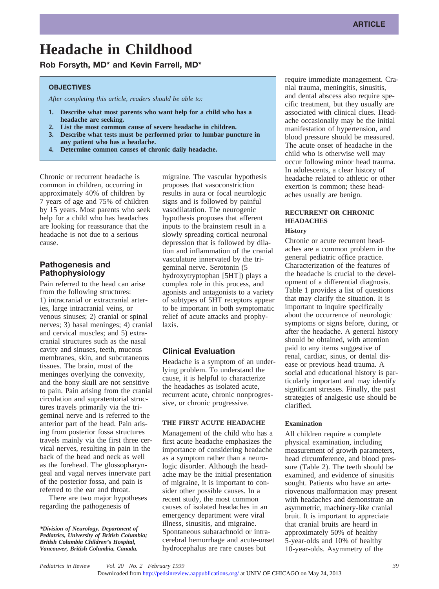# **Headache in Childhood**

**Rob Forsyth, MD\* and Kevin Farrell, MD\***

#### **OBJECTIVES**

*After completing this article, readers should be able to:*

- **1. Describe what most parents who want help for a child who has a headache are seeking.**
- **2. List the most common cause of severe headache in children.**
- **3. Describe what tests must be performed prior to lumbar puncture in any patient who has a headache.**
- **4. Determine common causes of chronic daily headache.**

Chronic or recurrent headache is common in children, occurring in approximately 40% of children by 7 years of age and 75% of children by 15 years. Most parents who seek help for a child who has headaches are looking for reassurance that the headache is not due to a serious cause.

# **Pathogenesis and Pathophysiology**

Pain referred to the head can arise from the following structures: 1) intracranial or extracranial arteries, large intracranial veins, or venous sinuses; 2) cranial or spinal nerves; 3) basal meninges; 4) cranial and cervical muscles; and 5) extracranial structures such as the nasal cavity and sinuses, teeth, mucous membranes, skin, and subcutaneous tissues. The brain, most of the meninges overlying the convexity, and the bony skull are not sensitive to pain. Pain arising from the cranial circulation and supratentorial structures travels primarily via the trigeminal nerve and is referred to the anterior part of the head. Pain arising from posterior fossa structures travels mainly via the first three cervical nerves, resulting in pain in the back of the head and neck as well as the forehead. The glossopharyngeal and vagal nerves innervate part of the posterior fossa, and pain is referred to the ear and throat.

There are two major hypotheses regarding the pathogenesis of

*\*Division of Neurology, Department of Pediatrics, University of British Columbia; British Columbia Children's Hospital, Vancouver, British Columbia, Canada.*

migraine. The vascular hypothesis proposes that vasoconstriction results in aura or focal neurologic signs and is followed by painful vasodilatation. The neurogenic hypothesis proposes that afferent inputs to the brainstem result in a slowly spreading cortical neuronal depression that is followed by dilation and inflammation of the cranial vasculature innervated by the trigeminal nerve. Serotonin (5 hydroxytryptophan [5HT]) plays a complex role in this process, and agonists and antagonists to a variety of subtypes of 5HT receptors appear to be important in both symptomatic relief of acute attacks and prophylaxis.

# **Clinical Evaluation**

Headache is a symptom of an underlying problem. To understand the cause, it is helpful to characterize the headaches as isolated acute, recurrent acute, chronic nonprogressive, or chronic progressive.

#### **THE FIRST ACUTE HEADACHE**

Management of the child who has a first acute headache emphasizes the importance of considering headache as a symptom rather than a neurologic disorder. Although the headache may be the initial presentation of migraine, it is important to consider other possible causes. In a recent study, the most common causes of isolated headaches in an emergency department were viral illness, sinusitis, and migraine. Spontaneous subarachnoid or intracerebral hemorrhage and acute-onset hydrocephalus are rare causes but

require immediate management. Cranial trauma, meningitis, sinusitis, and dental abscess also require specific treatment, but they usually are associated with clinical clues. Headache occasionally may be the initial manifestation of hypertension, and blood pressure should be measured. The acute onset of headache in the child who is otherwise well may occur following minor head trauma. In adolescents, a clear history of headache related to athletic or other exertion is common; these headaches usually are benign.

#### **RECURRENT OR CHRONIC HEADACHES History**

Chronic or acute recurrent headaches are a common problem in the general pediatric office practice. Characterization of the features of the headache is crucial to the development of a differential diagnosis. Table 1 provides a list of questions that may clarify the situation. It is important to inquire specifically about the occurrence of neurologic symptoms or signs before, during, or after the headache. A general history should be obtained, with attention paid to any items suggestive of renal, cardiac, sinus, or dental disease or previous head trauma. A social and educational history is particularly important and may identify significant stresses. Finally, the past strategies of analgesic use should be clarified.

#### **Examination**

All children require a complete physical examination, including measurement of growth parameters, head circumference, and blood pressure (Table 2). The teeth should be examined, and evidence of sinusitis sought. Patients who have an arteriovenous malformation may present with headaches and demonstrate an asymmetric, machinery-like cranial bruit. It is important to appreciate that cranial bruits are heard in approximately 50% of healthy 5-year-olds and 10% of healthy 10-year-olds. Asymmetry of the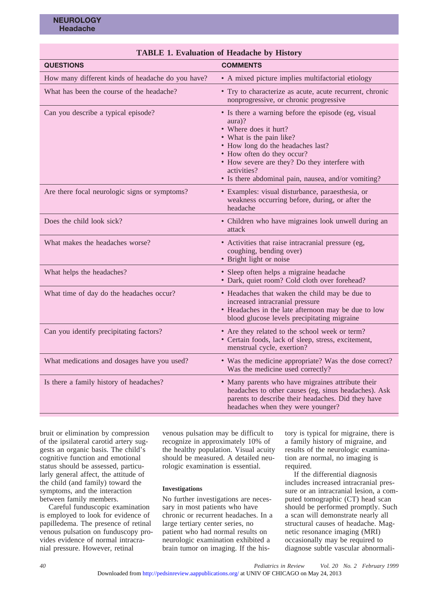| TADLE 1. Evaluation of Headache by History<br><b>QUESTIONS</b><br><b>COMMENTS</b> |                                                                                                                                                                                                                                                                                                              |  |
|-----------------------------------------------------------------------------------|--------------------------------------------------------------------------------------------------------------------------------------------------------------------------------------------------------------------------------------------------------------------------------------------------------------|--|
|                                                                                   |                                                                                                                                                                                                                                                                                                              |  |
| How many different kinds of headache do you have?                                 | • A mixed picture implies multifactorial etiology                                                                                                                                                                                                                                                            |  |
| What has been the course of the headache?                                         | • Try to characterize as acute, acute recurrent, chronic<br>nonprogressive, or chronic progressive                                                                                                                                                                                                           |  |
| Can you describe a typical episode?                                               | • Is there a warning before the episode (eg, visual<br>aura)?<br>• Where does it hurt?<br>• What is the pain like?<br>• How long do the headaches last?<br>• How often do they occur?<br>• How severe are they? Do they interfere with<br>activities?<br>• Is there abdominal pain, nausea, and/or vomiting? |  |
| Are there focal neurologic signs or symptoms?                                     | · Examples: visual disturbance, paraesthesia, or<br>weakness occurring before, during, or after the<br>headache                                                                                                                                                                                              |  |
| Does the child look sick?                                                         | • Children who have migraines look unwell during an<br>attack                                                                                                                                                                                                                                                |  |
| What makes the headaches worse?                                                   | • Activities that raise intracranial pressure (eg,<br>coughing, bending over)<br>• Bright light or noise                                                                                                                                                                                                     |  |
| What helps the headaches?                                                         | · Sleep often helps a migraine headache<br>• Dark, quiet room? Cold cloth over forehead?                                                                                                                                                                                                                     |  |
| What time of day do the headaches occur?                                          | • Headaches that waken the child may be due to<br>increased intracranial pressure<br>• Headaches in the late afternoon may be due to low<br>blood glucose levels precipitating migraine                                                                                                                      |  |
| Can you identify precipitating factors?                                           | • Are they related to the school week or term?<br>• Certain foods, lack of sleep, stress, excitement,<br>menstrual cycle, exertion?                                                                                                                                                                          |  |
| What medications and dosages have you used?                                       | • Was the medicine appropriate? Was the dose correct?<br>Was the medicine used correctly?                                                                                                                                                                                                                    |  |
| Is there a family history of headaches?                                           | • Many parents who have migraines attribute their<br>headaches to other causes (eg, sinus headaches). Ask<br>parents to describe their headaches. Did they have<br>headaches when they were younger?                                                                                                         |  |

# **TABLE 1. Evaluation of Headache by History**

bruit or elimination by compression of the ipsilateral carotid artery suggests an organic basis. The child's cognitive function and emotional status should be assessed, particularly general affect, the attitude of the child (and family) toward the symptoms, and the interaction between family members.

Careful funduscopic examination is employed to look for evidence of papilledema. The presence of retinal venous pulsation on funduscopy provides evidence of normal intracranial pressure. However, retinal

venous pulsation may be difficult to recognize in approximately 10% of the healthy population. Visual acuity should be measured. A detailed neurologic examination is essential.

#### **Investigations**

No further investigations are necessary in most patients who have chronic or recurrent headaches. In a large tertiary center series, no patient who had normal results on neurologic examination exhibited a brain tumor on imaging. If the his-

tory is typical for migraine, there is a family history of migraine, and results of the neurologic examination are normal, no imaging is required.

If the differential diagnosis includes increased intracranial pressure or an intracranial lesion, a computed tomographic (CT) head scan should be performed promptly. Such a scan will demonstrate nearly all structural causes of headache. Magnetic resonance imaging (MRI) occasionally may be required to diagnose subtle vascular abnormali-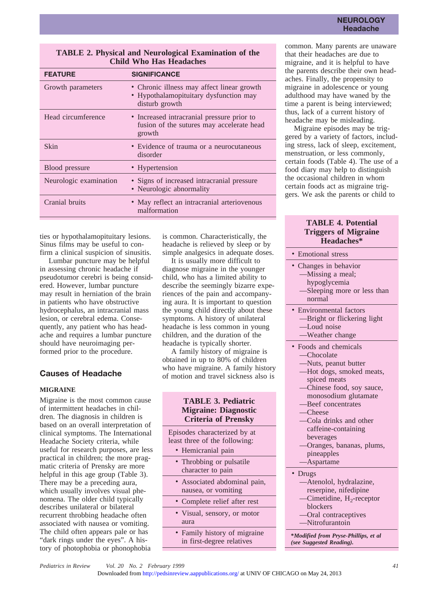#### **NEUROLOGY Headache**

| Спич ттио плаз педиаснез |                                                                                                        |
|--------------------------|--------------------------------------------------------------------------------------------------------|
| <b>FEATURE</b>           | <b>SIGNIFICANCE</b>                                                                                    |
| Growth parameters        | • Chronic illness may affect linear growth<br>• Hypothalamopituitary dysfunction may<br>disturb growth |
| Head circumference       | • Increased intracranial pressure prior to<br>fusion of the sutures may accelerate head<br>growth      |
| <b>Skin</b>              | • Evidence of trauma or a neurocutaneous<br>disorder                                                   |
| Blood pressure           | • Hypertension                                                                                         |
| Neurologic examination   | • Signs of increased intracranial pressure<br>• Neurologic abnormality                                 |
| Cranial bruits           | • May reflect an intracranial arteriovenous<br>malformation                                            |
|                          |                                                                                                        |

# **TABLE 2. Physical and Neurological Examination of the Child Who Has Headaches**

ties or hypothalamopituitary lesions. Sinus films may be useful to confirm a clinical suspicion of sinusitis.

Lumbar puncture may be helpful in assessing chronic headache if pseudotumor cerebri is being considered. However, lumbar puncture may result in herniation of the brain in patients who have obstructive hydrocephalus, an intracranial mass lesion, or cerebral edema. Consequently, any patient who has headache and requires a lumbar puncture should have neuroimaging performed prior to the procedure.

# **Causes of Headache**

#### **MIGRAINE**

Migraine is the most common cause of intermittent headaches in children. The diagnosis in children is based on an overall interpretation of clinical symptoms. The International Headache Society criteria, while useful for research purposes, are less practical in children; the more pragmatic criteria of Prensky are more helpful in this age group (Table 3). There may be a preceding aura, which usually involves visual phenomena. The older child typically describes unilateral or bilateral recurrent throbbing headache often associated with nausea or vomiting. The child often appears pale or has "dark rings under the eyes". A history of photophobia or phonophobia

is common. Characteristically, the headache is relieved by sleep or by simple analgesics in adequate doses.

It is usually more difficult to diagnose migraine in the younger child, who has a limited ability to describe the seemingly bizarre experiences of the pain and accompanying aura. It is important to question the young child directly about these symptoms. A history of unilateral headache is less common in young children, and the duration of the headache is typically shorter.

A family history of migraine is obtained in up to 80% of children who have migraine. A family history of motion and travel sickness also is

## **TABLE 3. Pediatric Migraine: Diagnostic Criteria of Prensky**

Episodes characterized by at least three of the following:

- Hemicranial pain
- Throbbing or pulsatile character to pain
- Associated abdominal pain, nausea, or vomiting
- Complete relief after rest • Visual, sensory, or motor
- aura
- Family history of migraine in first-degree relatives

common. Many parents are unaware that their headaches are due to migraine, and it is helpful to have the parents describe their own headaches. Finally, the propensity to migraine in adolescence or young adulthood may have waned by the time a parent is being interviewed; thus, lack of a current history of headache may be misleading.

Migraine episodes may be triggered by a variety of factors, including stress, lack of sleep, excitement, menstruation, or less commonly, certain foods (Table 4). The use of a food diary may help to distinguish the occasional children in whom certain foods act as migraine triggers. We ask the parents or child to

## **TABLE 4. Potential Triggers of Migraine Headaches\***

- Emotional stress
- Changes in behavior —Missing a meal; hypoglycemia —Sleeping more or less than normal
- Environmental factors
	- —Bright or flickering light
	- —Loud noise
	- —Weather change
- Foods and chemicals
- —Chocolate
- —Nuts, peanut butter
- —Hot dogs, smoked meats, spiced meats
- —Chinese food, soy sauce, monosodium glutamate
- —Beef concentrates
- —Cheese
- —Cola drinks and other caffeine-containing beverages
- —Oranges, bananas, plums, pineapples
- —Aspartame
- Drugs
	- —Atenolol, hydralazine,
	- reserpine, nifedipine
	- $\equiv$ Cimetidine, H<sub>2</sub>-receptor
	- blockers
	- —Oral contraceptives
	- —Nitrofurantoin

**\****Modified from Pryse-Phillips, et al (see Suggested Reading).*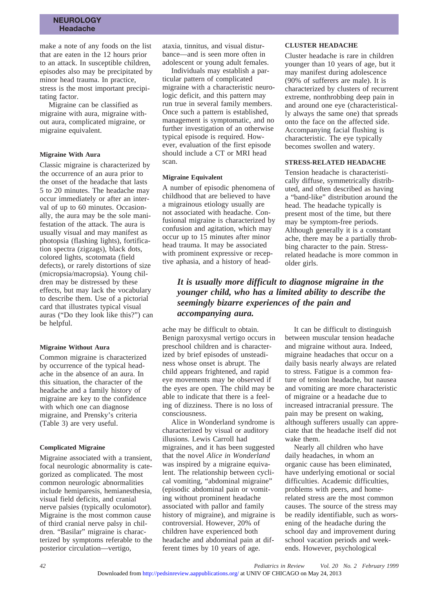#### **NEUROLOGY Headache**

make a note of any foods on the list that are eaten in the 12 hours prior to an attack. In susceptible children, episodes also may be precipitated by minor head trauma. In practice, stress is the most important precipitating factor.

Migraine can be classified as migraine with aura, migraine without aura, complicated migraine, or migraine equivalent.

#### **Migraine With Aura**

Classic migraine is characterized by the occurrence of an aura prior to the onset of the headache that lasts 5 to 20 minutes. The headache may occur immediately or after an interval of up to 60 minutes. Occasionally, the aura may be the sole manifestation of the attack. The aura is usually visual and may manifest as photopsia (flashing lights), fortification spectra (zigzags), black dots, colored lights, scotomata (field defects), or rarely distortions of size (micropsia/macropsia). Young children may be distressed by these effects, but may lack the vocabulary to describe them. Use of a pictorial card that illustrates typical visual auras ("Do they look like this?") can be helpful.

#### **Migraine Without Aura**

Common migraine is characterized by occurrence of the typical headache in the absence of an aura. In this situation, the character of the headache and a family history of migraine are key to the confidence with which one can diagnose migraine, and Prensky's criteria (Table 3) are very useful.

#### **Complicated Migraine**

Migraine associated with a transient, focal neurologic abnormality is categorized as complicated. The most common neurologic abnormalities include hemiparesis, hemianesthesia, visual field deficits, and cranial nerve palsies (typically oculomotor). Migraine is the most common cause of third cranial nerve palsy in children. "Basilar" migraine is characterized by symptoms referable to the posterior circulation—vertigo,

ataxia, tinnitus, and visual disturbance—and is seen more often in adolescent or young adult females.

Individuals may establish a particular pattern of complicated migraine with a characteristic neurologic deficit, and this pattern may run true in several family members. Once such a pattern is established, management is symptomatic, and no further investigation of an otherwise typical episode is required. However, evaluation of the first episode should include a CT or MRI head scan.

#### **Migraine Equivalent**

A number of episodic phenomena of childhood that are believed to have a migrainous etiology usually are not associated with headache. Confusional migraine is characterized by confusion and agitation, which may occur up to 15 minutes after minor head trauma. It may be associated with prominent expressive or receptive aphasia, and a history of head-

#### **CLUSTER HEADACHE**

Cluster headache is rare in children younger than 10 years of age, but it may manifest during adolescence (90% of sufferers are male). It is characterized by clusters of recurrent extreme, nonthrobbing deep pain in and around one eye (characteristically always the same one) that spreads onto the face on the affected side. Accompanying facial flushing is characteristic. The eye typically becomes swollen and watery.

#### **STRESS-RELATED HEADACHE**

Tension headache is characteristically diffuse, symmetrically distributed, and often described as having a "band-like" distribution around the head. The headache typically is present most of the time, but there may be symptom-free periods. Although generally it is a constant ache, there may be a partially throbbing character to the pain. Stressrelated headache is more common in older girls.

*It is usually more difficult to diagnose migraine in the younger child, who has a limited ability to describe the seemingly bizarre experiences of the pain and accompanying aura.*

ache may be difficult to obtain. Benign paroxysmal vertigo occurs in preschool children and is characterized by brief episodes of unsteadiness whose onset is abrupt. The child appears frightened, and rapid eye movements may be observed if the eyes are open. The child may be able to indicate that there is a feeling of dizziness. There is no loss of consciousness.

Alice in Wonderland syndrome is characterized by visual or auditory illusions. Lewis Carroll had migraines, and it has been suggested that the novel *Alice in Wonderland* was inspired by a migraine equivalent. The relationship between cyclical vomiting, "abdominal migraine" (episodic abdominal pain or vomiting without prominent headache associated with pallor and family history of migraine), and migraine is controversial. However, 20% of children have experienced both headache and abdominal pain at different times by 10 years of age.

It can be difficult to distinguish between muscular tension headache and migraine without aura. Indeed, migraine headaches that occur on a daily basis nearly always are related to stress. Fatigue is a common feature of tension headache, but nausea and vomiting are more characteristic of migraine or a headache due to increased intracranial pressure. The pain may be present on waking, although sufferers usually can appreciate that the headache itself did not wake them.

Nearly all children who have daily headaches, in whom an organic cause has been eliminated, have underlying emotional or social difficulties. Academic difficulties, problems with peers, and homerelated stress are the most common causes. The source of the stress may be readily identifiable, such as worsening of the headache during the school day and improvement during school vacation periods and weekends. However, psychological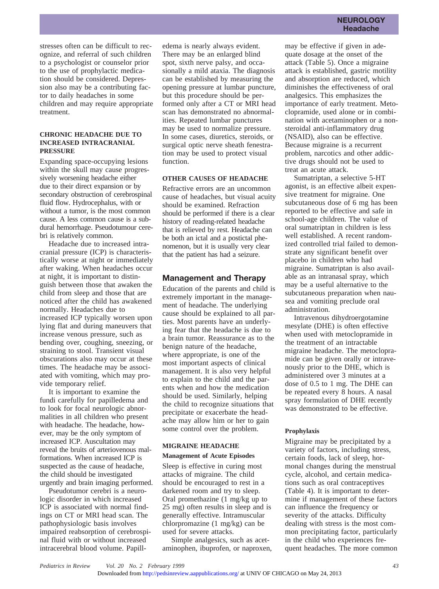stresses often can be difficult to recognize, and referral of such children to a psychologist or counselor prior to the use of prophylactic medication should be considered. Depression also may be a contributing factor to daily headaches in some children and may require appropriate treatment.

#### **CHRONIC HEADACHE DUE TO INCREASED INTRACRANIAL PRESSURE**

Expanding space-occupying lesions within the skull may cause progressively worsening headache either due to their direct expansion or by secondary obstruction of cerebrospinal fluid flow. Hydrocephalus, with or without a tumor, is the most common cause. A less common cause is a subdural hemorrhage. Pseudotumour cerebri is relatively common.

Headache due to increased intracranial pressure (ICP) is characteristically worse at night or immediately after waking. When headaches occur at night, it is important to distinguish between those that awaken the child from sleep and those that are noticed after the child has awakened normally. Headaches due to increased ICP typically worsen upon lying flat and during maneuvers that increase venous pressure, such as bending over, coughing, sneezing, or straining to stool. Transient visual obscurations also may occur at these times. The headache may be associated with vomiting, which may provide temporary relief.

It is important to examine the fundi carefully for papilledema and to look for focal neurologic abnormalities in all children who present with headache. The headache, however, may be the only symptom of increased ICP. Auscultation may reveal the bruits of arteriovenous malformations. When increased ICP is suspected as the cause of headache, the child should be investigated urgently and brain imaging performed.

Pseudotumor cerebri is a neurologic disorder in which increased ICP is associated with normal findings on CT or MRI head scan. The pathophysiologic basis involves impaired reabsorption of cerebrospinal fluid with or without increased intracerebral blood volume. Papill-

edema is nearly always evident. There may be an enlarged blind spot, sixth nerve palsy, and occasionally a mild ataxia. The diagnosis can be established by measuring the opening pressure at lumbar puncture, but this procedure should be performed only after a CT or MRI head scan has demonstrated no abnormalities. Repeated lumbar punctures may be used to normalize pressure. In some cases, diuretics, steroids, or surgical optic nerve sheath fenestration may be used to protect visual function.

#### **OTHER CAUSES OF HEADACHE**

Refractive errors are an uncommon cause of headaches, but visual acuity should be examined. Refraction should be performed if there is a clear history of reading-related headache that is relieved by rest. Headache can be both an ictal and a postictal phenomenon, but it is usually very clear that the patient has had a seizure.

#### **Management and Therapy**

Education of the parents and child is extremely important in the management of headache. The underlying cause should be explained to all parties. Most parents have an underlying fear that the headache is due to a brain tumor. Reassurance as to the benign nature of the headache, where appropriate, is one of the most important aspects of clinical management. It is also very helpful to explain to the child and the parents when and how the medication should be used. Similarly, helping the child to recognize situations that precipitate or exacerbate the headache may allow him or her to gain some control over the problem.

#### **MIGRAINE HEADACHE**

#### **Management of Acute Episodes**

Sleep is effective in curing most attacks of migraine. The child should be encouraged to rest in a darkened room and try to sleep. Oral promethazine (1 mg/kg up to 25 mg) often results in sleep and is generally effective. Intramuscular chlorpromazine (1 mg/kg) can be used for severe attacks.

Simple analgesics, such as acetaminophen, ibuprofen, or naproxen, may be effective if given in adequate dosage at the onset of the attack (Table 5). Once a migraine attack is established, gastric motility and absorption are reduced, which diminishes the effectiveness of oral analgesics. This emphasizes the importance of early treatment. Metoclopramide, used alone or in combination with acetaminophen or a nonsteroidal anti-inflammatory drug (NSAID), also can be effective. Because migraine is a recurrent problem, narcotics and other addictive drugs should not be used to treat an acute attack.

Sumatriptan, a selective 5-HT agonist, is an effective albeit expensive treatment for migraine. One subcutaneous dose of 6 mg has been reported to be effective and safe in school-age children. The value of oral sumatriptan in children is less well established. A recent randomized controlled trial failed to demonstrate any significant benefit over placebo in children who had migraine. Sumatriptan is also available as an intranasal spray, which may be a useful alternative to the subcutaneous preparation when nausea and vomiting preclude oral administration.

Intravenous dihydroergotamine mesylate (DHE) is often effective when used with metoclopramide in the treatment of an intractable migraine headache. The metoclopramide can be given orally or intravenously prior to the DHE, which is administered over 3 minutes at a dose of 0.5 to 1 mg. The DHE can be repeated every 8 hours. A nasal spray formulation of DHE recently was demonstrated to be effective.

#### **Prophylaxis**

Migraine may be precipitated by a variety of factors, including stress, certain foods, lack of sleep, hormonal changes during the menstrual cycle, alcohol, and certain medications such as oral contraceptives (Table 4). It is important to determine if management of these factors can influence the frequency or severity of the attacks. Difficulty dealing with stress is the most common precipitating factor, particularly in the child who experiences frequent headaches. The more common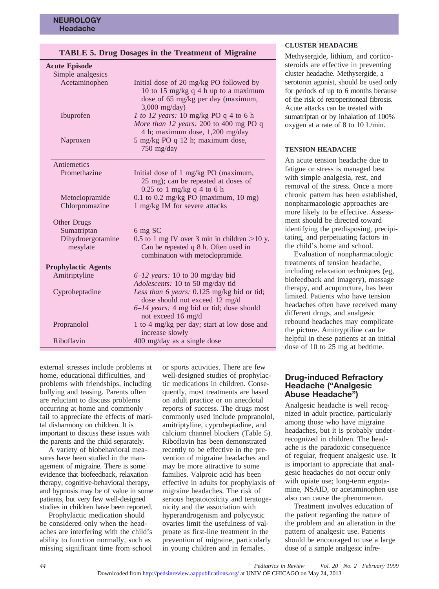| <b>TABLE 5. Drug Dosages in the Treatment of Migraine</b> |                                                                                                                                                  |  |
|-----------------------------------------------------------|--------------------------------------------------------------------------------------------------------------------------------------------------|--|
| <b>Acute Episode</b><br>Simple analgesics                 |                                                                                                                                                  |  |
| Acetaminophen                                             | Initial dose of 20 mg/kg PO followed by<br>10 to 15 mg/kg q 4 h up to a maximum<br>dose of 65 mg/kg per day (maximum,<br>$3,000$ mg/day)         |  |
| Ibuprofen                                                 | 1 to 12 years: 10 mg/kg PO q 4 to 6 h<br>More than 12 years: 200 to 400 mg PO q<br>4 h; maximum dose, 1,200 mg/day                               |  |
| Naproxen                                                  | 5 mg/kg PO q 12 h; maximum dose,<br>750 mg/day                                                                                                   |  |
| Antiemetics                                               |                                                                                                                                                  |  |
| Promethazine                                              | Initial dose of 1 mg/kg PO (maximum,<br>25 mg); can be repeated at doses of<br>$0.25$ to 1 mg/kg q 4 to 6 h                                      |  |
| Metoclopramide                                            | $0.1$ to $0.2$ mg/kg PO (maximum, 10 mg)                                                                                                         |  |
| Chlorpromazine                                            | 1 mg/kg IM for severe attacks                                                                                                                    |  |
| Other Drugs                                               |                                                                                                                                                  |  |
| Sumatriptan                                               | 6 mg SC                                                                                                                                          |  |
| Dihydroergotamine<br>mesylate                             | 0.5 to 1 mg IV over 3 min in children $>$ 10 y.<br>Can be repeated q 8 h. Often used in<br>combination with metoclopramide.                      |  |
| <b>Prophylactic Agents</b>                                |                                                                                                                                                  |  |
| Amitriptyline                                             | $6-12$ years: 10 to 30 mg/day bid<br>Adolescents: 10 to 50 mg/day tid                                                                            |  |
| Cyproheptadine                                            | Less than 6 years: 0.125 mg/kg bid or tid;<br>dose should not exceed 12 mg/d<br>$6-14$ years: 4 mg bid or tid; dose should<br>not exceed 16 mg/d |  |
| Propranolol                                               | 1 to 4 mg/kg per day; start at low dose and<br>increase slowly                                                                                   |  |
| Riboflavin                                                | 400 mg/day as a single dose                                                                                                                      |  |

external stresses include problems at home, educational difficulties, and problems with friendships, including bullying and teasing. Parents often are reluctant to discuss problems occurring at home and commonly fail to appreciate the effects of marital disharmony on children. It is important to discuss these issues with the parents and the child separately.

A variety of biobehavioral measures have been studied in the management of migraine. There is some evidence that biofeedback, relaxation therapy, cognitive-behavioral therapy, and hypnosis may be of value in some patients, but very few well-designed studies in children have been reported.

Prophylactic medication should be considered only when the headaches are interfering with the child's ability to function normally, such as missing significant time from school

or sports activities. There are few well-designed studies of prophylactic medications in children. Consequently, most treatments are based on adult practice or on anecdotal reports of success. The drugs most commonly used include propranolol, amitriptyline, cyproheptadine, and calcium channel blockers (Table 5). Riboflavin has been demonstrated recently to be effective in the prevention of migraine headaches and may be more attractive to some families. Valproic acid has been effective in adults for prophylaxis of migraine headaches. The risk of serious hepatotoxicity and teratogenicity and the association with hyperandrogenism and polycystic ovaries limit the usefulness of valproate as first-line treatment in the prevention of migraine, particularly in young children and in females.

#### **CLUSTER HEADACHE**

Methysergide, lithium, and corticosteroids are effective in preventing cluster headache. Methysergide, a serotonin agonist, should be used only for periods of up to 6 months because of the risk of retroperitoneal fibrosis. Acute attacks can be treated with sumatriptan or by inhalation of 100% oxygen at a rate of 8 to 10 L/min.

#### **TENSION HEADACHE**

An acute tension headache due to fatigue or stress is managed best with simple analgesia, rest, and removal of the stress. Once a more chronic pattern has been established, nonpharmacologic approaches are more likely to be effective. Assessment should be directed toward identifying the predisposing, precipitating, and perpetuating factors in the child's home and school.

Evaluation of nonpharmacologic treatments of tension headache, including relaxation techniques (eg, biofeedback and imagery), massage therapy, and acupuncture, has been limited. Patients who have tension headaches often have received many different drugs, and analgesic rebound headaches may complicate the picture. Amitryptiline can be helpful in these patients at an initial dose of 10 to 25 mg at bedtime.

#### **Drug-induced Refractory Headache ("Analgesic Abuse Headache")**

Analgesic headache is well recognized in adult practice, particularly among those who have migraine headaches, but it is probably underrecognized in children. The headache is the paradoxic consequence of regular, frequent analgesic use. It is important to appreciate that analgesic headaches do not occur only with opiate use; long-term ergotamine, NSAID, or acetaminophen use also can cause the phenomenon.

Treatment involves education of the patient regarding the nature of the problem and an alteration in the pattern of analgesic use. Patients should be encouraged to use a large dose of a simple analgesic infre-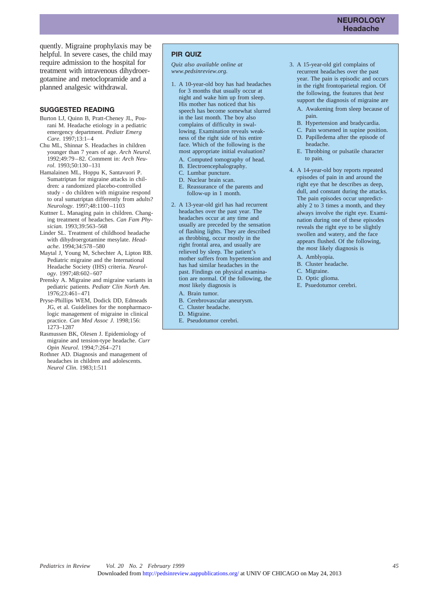#### **NEUROLOGY Headache**

quently. Migraine prophylaxis may be helpful. In severe cases, the child may require admission to the hospital for treatment with intravenous dihydroergotamine and metoclopramide and a planned analgesic withdrawal.

#### **SUGGESTED READING**

- Burton LJ, Quinn B, Pratt-Cheney JL, Pourani M. Headache etiology in a pediatric emergency department. *Pediatr Emerg Care*. 1997;13:1–4
- Chu ML, Shinnar S. Headaches in children younger than 7 years of age. *Arch Neurol*. 1992;49:79–82. Comment in: *Arch Neurol*. 1993;50:130–131
- Hamalainen ML, Hoppu K, Santavuori P. Sumatriptan for migraine attacks in children: a randomized placebo-controlled study - do children with migraine respond to oral sumatriptan differently from adults? *Neurology*. 1997;48:1100–1103
- Kuttner L. Managing pain in children. Changing treatment of headaches. *Can Fam Physician.* 1993;39:563–568
- Linder SL. Treatment of childhood headache with dihydroergotamine mesylate. *Headache*. 1994;34:578–580
- Maytal J, Young M, Schechter A, Lipton RB. Pediatric migraine and the International Headache Society (IHS) criteria. *Neurology*. 1997;48:602–607
- Prensky A. Migraine and migraine variants in pediatric patients. *Pediatr Clin North Am*. 1976;23:461–471
- Pryse-Phillips WEM, Dodick DD, Edmeads JG, et al. Guidelines for the nonpharmacologic management of migraine in clinical practice. *Can Med Assoc J*. 1998;156: 1273–1287
- Rasmussen BK, Olesen J. Epidemiology of migraine and tension-type headache. *Curr Opin Neurol*. 1994;7:264–271
- Rothner AD. Diagnosis and management of headaches in children and adolescents. *Neurol Clin*. 1983;1:511

#### **PIR QUIZ**

*Quiz also available online at www.pedsinreview.org.*

- 1. A 10-year-old boy has had headaches for 3 months that usually occur at night and wake him up from sleep. His mother has noticed that his speech has become somewhat slurred in the last month. The boy also complains of difficulty in swallowing. Examination reveals weakness of the right side of his entire face. Which of the following is the most appropriate initial evaluation?
	- A. Computed tomography of head.
	- B. Electroencephalography.
	- C. Lumbar puncture. D. Nuclear brain scan.
	- E. Reassurance of the parents and follow-up in 1 month.
- 2. A 13-year-old girl has had recurrent headaches over the past year. The headaches occur at any time and usually are preceded by the sensation of flashing lights. They are described as throbbing, occur mostly in the right frontal area, and usually are relieved by sleep. The patient's mother suffers from hypertension and has had similar headaches in the past. Findings on physical examination are normal. Of the following, the *most* likely diagnosis is
	- A. Brain tumor.
	- B. Cerebrovascular aneurysm.
	- C. Cluster headache.
	- D. Migraine.
	- E. Pseudotumor cerebri.
- 3. A 15-year-old girl complains of recurrent headaches over the past year. The pain is episodic and occurs in the right frontoparietal region. Of the following, the features that *best* support the diagnosis of migraine are
	- A. Awakening from sleep because of pain.
	- B. Hypertension and bradycardia.
	- C. Pain worsened in supine position. D. Papilledema after the episode of
	- headache.
	- E. Throbbing or pulsatile character to pain.
- 4. A 14-year-old boy reports repeated episodes of pain in and around the right eye that he describes as deep, dull, and constant during the attacks. The pain episodes occur unpredictably 2 to 3 times a month, and they always involve the right eye. Examination during one of these episodes reveals the right eye to be slightly swollen and watery, and the face appears flushed. Of the following, the *most* likely diagnosis is
	- A. Amblyopia.
	- B. Cluster headache.
	- C. Migraine.
	- D. Optic glioma.
	- E. Psuedotumor cerebri.